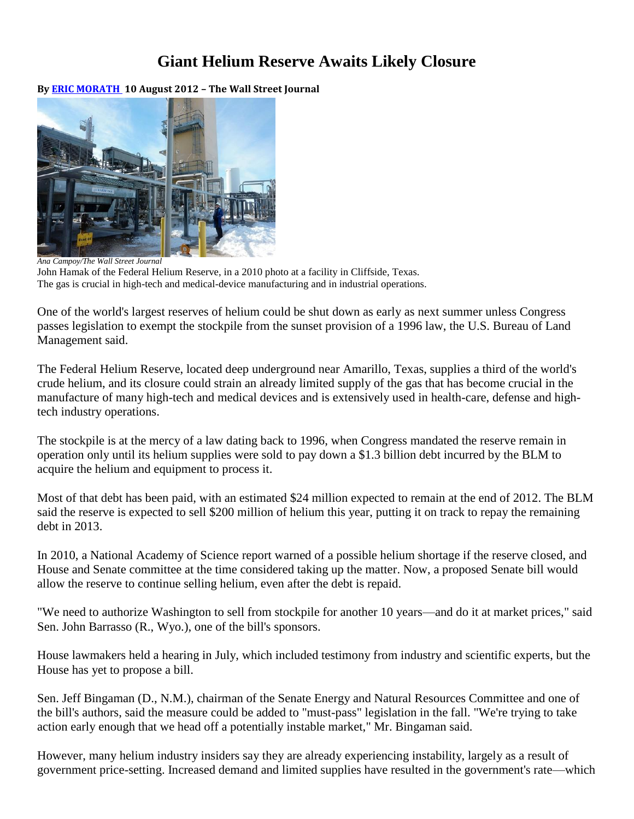## **Giant Helium Reserve Awaits Likely Closure**

**By [ERIC MORATH](http://online.wsj.com/search/term.html?KEYWORDS=ERIC+MORATH+&bylinesearch=true) 10 August 2012 – The Wall Street Journal**



*Ana Campoy/The Wall Street Journal* John Hamak of the Federal Helium Reserve, in a 2010 photo at a facility in Cliffside, Texas. The gas is crucial in high-tech and medical-device manufacturing and in industrial operations.

One of the world's largest reserves of helium could be shut down as early as next summer unless Congress passes legislation to exempt the stockpile from the sunset provision of a 1996 law, the U.S. Bureau of Land Management said.

The Federal Helium Reserve, located deep underground near Amarillo, Texas, supplies a third of the world's crude helium, and its closure could strain an already limited supply of the gas that has become crucial in the manufacture of many high-tech and medical devices and is extensively used in health-care, defense and hightech industry operations.

The stockpile is at the mercy of a law dating back to 1996, when Congress mandated the reserve remain in operation only until its helium supplies were sold to pay down a \$1.3 billion debt incurred by the BLM to acquire the helium and equipment to process it.

Most of that debt has been paid, with an estimated \$24 million expected to remain at the end of 2012. The BLM said the reserve is expected to sell \$200 million of helium this year, putting it on track to repay the remaining debt in 2013.

In 2010, a National Academy of Science report warned of a possible helium shortage if the reserve closed, and House and Senate committee at the time considered taking up the matter. Now, a proposed Senate bill would allow the reserve to continue selling helium, even after the debt is repaid.

"We need to authorize Washington to sell from stockpile for another 10 years—and do it at market prices," said Sen. John Barrasso (R., Wyo.), one of the bill's sponsors.

House lawmakers held a hearing in July, which included testimony from industry and scientific experts, but the House has yet to propose a bill.

Sen. Jeff Bingaman (D., N.M.), chairman of the Senate Energy and Natural Resources Committee and one of the bill's authors, said the measure could be added to "must-pass" legislation in the fall. "We're trying to take action early enough that we head off a potentially instable market," Mr. Bingaman said.

However, many helium industry insiders say they are already experiencing instability, largely as a result of government price-setting. Increased demand and limited supplies have resulted in the government's rate—which